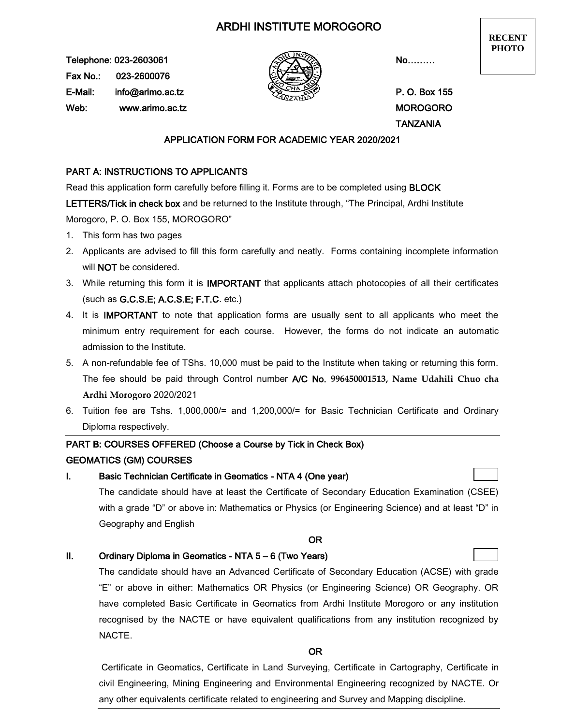# ARDHI INSTITUTE MOROGORO

Telephone: 023-2603061  $\overbrace{\lll}$  No……… Fax No.: 023-2600076 E-Mail: info@arimo.ac.tz **P. O. Box 155** Web: www.arimo.ac.tz MOROGORO



**RECENT PHOTO**

TANZANIA

### APPLICATION FORM FOR ACADEMIC YEAR 2020/2021

## PART A: INSTRUCTIONS TO APPLICANTS

Read this application form carefully before filling it. Forms are to be completed using BLOCK

LETTERS/Tick in check box and be returned to the Institute through, "The Principal, Ardhi Institute Morogoro, P. O. Box 155, MOROGORO"

- 1. This form has two pages
- 2. Applicants are advised to fill this form carefully and neatly. Forms containing incomplete information will NOT be considered.
- 3. While returning this form it is IMPORTANT that applicants attach photocopies of all their certificates (such as G.C.S.E; A.C.S.E; F.T.C. etc.)
- 4. It is IMPORTANT to note that application forms are usually sent to all applicants who meet the minimum entry requirement for each course. However, the forms do not indicate an automatic admission to the Institute.
- 5. A non-refundable fee of TShs. 10,000 must be paid to the Institute when taking or returning this form. The fee should be paid through Control number A/C No. **996450001513, Name Udahili Chuo cha Ardhi Morogoro** 2020/2021
- 6. Tuition fee are Tshs. 1,000,000/= and 1,200,000/= for Basic Technician Certificate and Ordinary Diploma respectively.

## PART B: COURSES OFFERED (Choose a Course by Tick in Check Box)

### GEOMATICS (GM) COURSES

## I. Basic Technician Certificate in Geomatics - NTA 4 (One year)

The candidate should have at least the Certificate of Secondary Education Examination (CSEE) with a grade "D" or above in: Mathematics or Physics (or Engineering Science) and at least "D" in Geography and English

#### OR

## II. Ordinary Diploma in Geomatics - NTA 5 – 6 (Two Years)

The candidate should have an Advanced Certificate of Secondary Education (ACSE) with grade "E" or above in either: Mathematics OR Physics (or Engineering Science) OR Geography. OR have completed Basic Certificate in Geomatics from Ardhi Institute Morogoro or any institution recognised by the NACTE or have equivalent qualifications from any institution recognized by NACTE.

#### OR

Certificate in Geomatics, Certificate in Land Surveying, Certificate in Cartography, Certificate in civil Engineering, Mining Engineering and Environmental Engineering recognized by NACTE. Or any other equivalents certificate related to engineering and Survey and Mapping discipline.